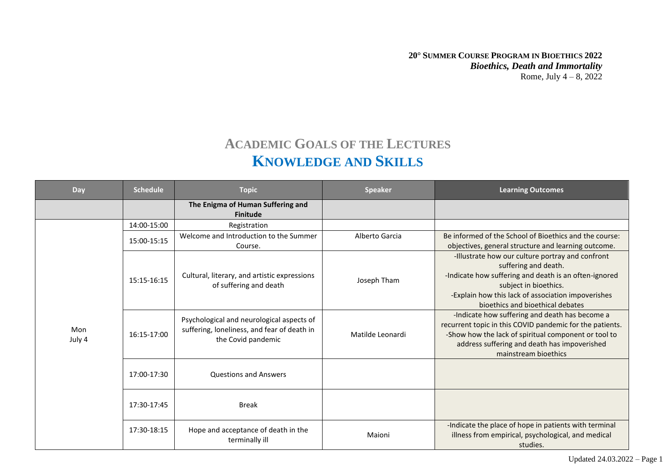## **ACADEMIC GOALS OF THE LECTURES KNOWLEDGE AND SKILLS**

| Day           | <b>Schedule</b> | <b>Topic</b>                                                                                                   | <b>Speaker</b>   | <b>Learning Outcomes</b>                                                                                                                                                                                                                             |
|---------------|-----------------|----------------------------------------------------------------------------------------------------------------|------------------|------------------------------------------------------------------------------------------------------------------------------------------------------------------------------------------------------------------------------------------------------|
|               |                 | The Enigma of Human Suffering and<br><b>Finitude</b>                                                           |                  |                                                                                                                                                                                                                                                      |
| Mon<br>July 4 | 14:00-15:00     | Registration                                                                                                   |                  |                                                                                                                                                                                                                                                      |
|               | 15:00-15:15     | Welcome and Introduction to the Summer<br>Course.                                                              | Alberto Garcia   | Be informed of the School of Bioethics and the course:<br>objectives, general structure and learning outcome.                                                                                                                                        |
|               | 15:15-16:15     | Cultural, literary, and artistic expressions<br>of suffering and death                                         | Joseph Tham      | -Illustrate how our culture portray and confront<br>suffering and death.<br>-Indicate how suffering and death is an often-ignored<br>subject in bioethics.<br>-Explain how this lack of association impoverishes<br>bioethics and bioethical debates |
|               | 16:15-17:00     | Psychological and neurological aspects of<br>suffering, loneliness, and fear of death in<br>the Covid pandemic | Matilde Leonardi | -Indicate how suffering and death has become a<br>recurrent topic in this COVID pandemic for the patients.<br>-Show how the lack of spiritual component or tool to<br>address suffering and death has impoverished<br>mainstream bioethics           |
|               | 17:00-17:30     | <b>Questions and Answers</b>                                                                                   |                  |                                                                                                                                                                                                                                                      |
|               | 17:30-17:45     | <b>Break</b>                                                                                                   |                  |                                                                                                                                                                                                                                                      |
|               | 17:30-18:15     | Hope and acceptance of death in the<br>terminally ill                                                          | Maioni           | -Indicate the place of hope in patients with terminal<br>illness from empirical, psychological, and medical<br>studies.                                                                                                                              |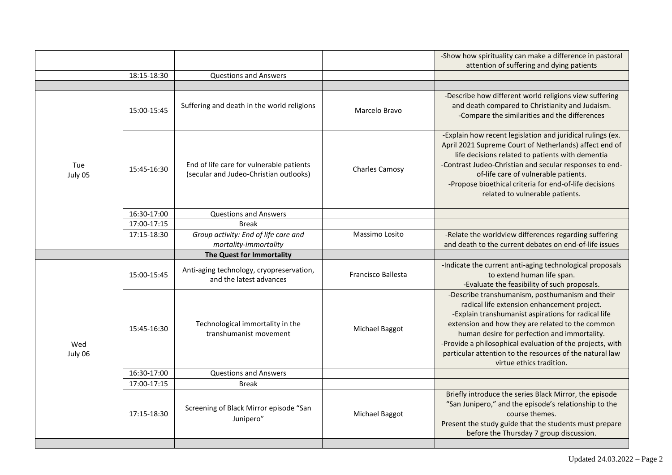|                |             |                                                                                    |                           | -Show how spirituality can make a difference in pastoral<br>attention of suffering and dying patients                                                                                                                                                                                                                                                                                                          |
|----------------|-------------|------------------------------------------------------------------------------------|---------------------------|----------------------------------------------------------------------------------------------------------------------------------------------------------------------------------------------------------------------------------------------------------------------------------------------------------------------------------------------------------------------------------------------------------------|
|                | 18:15-18:30 | <b>Questions and Answers</b>                                                       |                           |                                                                                                                                                                                                                                                                                                                                                                                                                |
|                |             |                                                                                    |                           |                                                                                                                                                                                                                                                                                                                                                                                                                |
| Tue<br>July 05 | 15:00-15:45 | Suffering and death in the world religions                                         | Marcelo Bravo             | -Describe how different world religions view suffering<br>and death compared to Christianity and Judaism.<br>-Compare the similarities and the differences                                                                                                                                                                                                                                                     |
|                | 15:45-16:30 | End of life care for vulnerable patients<br>(secular and Judeo-Christian outlooks) | <b>Charles Camosy</b>     | -Explain how recent legislation and juridical rulings (ex.<br>April 2021 Supreme Court of Netherlands) affect end of<br>life decisions related to patients with dementia<br>-Contrast Judeo-Christian and secular responses to end-<br>of-life care of vulnerable patients.<br>-Propose bioethical criteria for end-of-life decisions<br>related to vulnerable patients.                                       |
|                | 16:30-17:00 | <b>Questions and Answers</b>                                                       |                           |                                                                                                                                                                                                                                                                                                                                                                                                                |
|                | 17:00-17:15 | <b>Break</b>                                                                       |                           |                                                                                                                                                                                                                                                                                                                                                                                                                |
|                | 17:15-18:30 | Group activity: End of life care and<br>mortality-immortality                      | Massimo Losito            | -Relate the worldview differences regarding suffering<br>and death to the current debates on end-of-life issues                                                                                                                                                                                                                                                                                                |
|                |             | The Quest for Immortality                                                          |                           |                                                                                                                                                                                                                                                                                                                                                                                                                |
| Wed<br>July 06 | 15:00-15:45 | Anti-aging technology, cryopreservation,<br>and the latest advances                | <b>Francisco Ballesta</b> | -Indicate the current anti-aging technological proposals<br>to extend human life span.<br>-Evaluate the feasibility of such proposals.                                                                                                                                                                                                                                                                         |
|                | 15:45-16:30 | Technological immortality in the<br>transhumanist movement                         | Michael Baggot            | -Describe transhumanism, posthumanism and their<br>radical life extension enhancement project.<br>-Explain transhumanist aspirations for radical life<br>extension and how they are related to the common<br>human desire for perfection and immortality.<br>-Provide a philosophical evaluation of the projects, with<br>particular attention to the resources of the natural law<br>virtue ethics tradition. |
|                | 16:30-17:00 | <b>Questions and Answers</b>                                                       |                           |                                                                                                                                                                                                                                                                                                                                                                                                                |
|                | 17:00-17:15 | <b>Break</b>                                                                       |                           |                                                                                                                                                                                                                                                                                                                                                                                                                |
|                | 17:15-18:30 | Screening of Black Mirror episode "San<br>Junipero"                                | Michael Baggot            | Briefly introduce the series Black Mirror, the episode<br>"San Junipero," and the episode's relationship to the<br>course themes.<br>Present the study guide that the students must prepare<br>before the Thursday 7 group discussion.                                                                                                                                                                         |
|                |             |                                                                                    |                           |                                                                                                                                                                                                                                                                                                                                                                                                                |